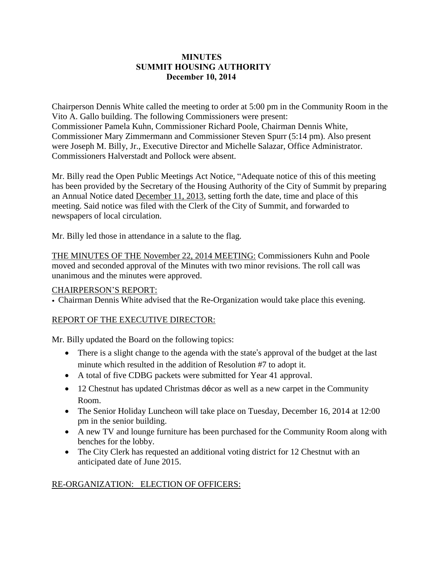# **MINUTES SUMMIT HOUSING AUTHORITY December 10, 2014**

Chairperson Dennis White called the meeting to order at 5:00 pm in the Community Room in the Vito A. Gallo building. The following Commissioners were present: Commissioner Pamela Kuhn, Commissioner Richard Poole, Chairman Dennis White, Commissioner Mary Zimmermann and Commissioner Steven Spurr (5:14 pm). Also present were Joseph M. Billy, Jr., Executive Director and Michelle Salazar, Office Administrator. Commissioners Halverstadt and Pollock were absent.

Mr. Billy read the Open Public Meetings Act Notice, "Adequate notice of this of this meeting has been provided by the Secretary of the Housing Authority of the City of Summit by preparing an Annual Notice dated December 11, 2013, setting forth the date, time and place of this meeting. Said notice was filed with the Clerk of the City of Summit, and forwarded to newspapers of local circulation.

Mr. Billy led those in attendance in a salute to the flag.

THE MINUTES OF THE November 22, 2014 MEETING: Commissioners Kuhn and Poole moved and seconded approval of the Minutes with two minor revisions. The roll call was unanimous and the minutes were approved.

## CHAIRPERSON'S REPORT:

• Chairman Dennis White advised that the Re-Organization would take place this evening.

## REPORT OF THE EXECUTIVE DIRECTOR:

Mr. Billy updated the Board on the following topics:

- There is a slight change to the agenda with the state's approval of the budget at the last minute which resulted in the addition of Resolution #7 to adopt it.
- A total of five CDBG packets were submitted for Year 41 approval.
- 12 Chestnut has updated Christmas décor as well as a new carpet in the Community Room.
- The Senior Holiday Luncheon will take place on Tuesday, December 16, 2014 at 12:00 pm in the senior building.
- A new TV and lounge furniture has been purchased for the Community Room along with benches for the lobby.
- The City Clerk has requested an additional voting district for 12 Chestnut with an anticipated date of June 2015.

# RE-ORGANIZATION: ELECTION OF OFFICERS: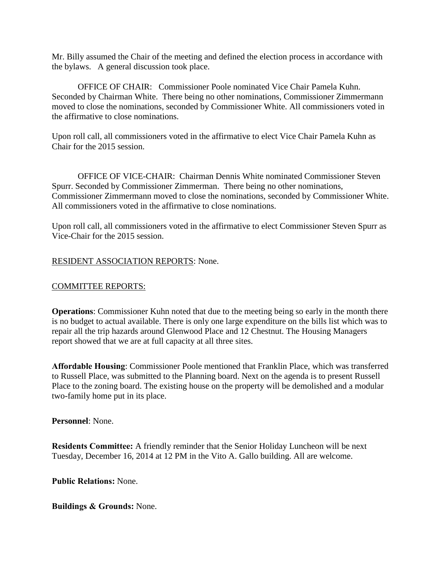Mr. Billy assumed the Chair of the meeting and defined the election process in accordance with the bylaws. A general discussion took place.

OFFICE OF CHAIR: Commissioner Poole nominated Vice Chair Pamela Kuhn. Seconded by Chairman White. There being no other nominations, Commissioner Zimmermann moved to close the nominations, seconded by Commissioner White. All commissioners voted in the affirmative to close nominations.

Upon roll call, all commissioners voted in the affirmative to elect Vice Chair Pamela Kuhn as Chair for the 2015 session.

OFFICE OF VICE-CHAIR: Chairman Dennis White nominated Commissioner Steven Spurr. Seconded by Commissioner Zimmerman. There being no other nominations, Commissioner Zimmermann moved to close the nominations, seconded by Commissioner White. All commissioners voted in the affirmative to close nominations.

Upon roll call, all commissioners voted in the affirmative to elect Commissioner Steven Spurr as Vice-Chair for the 2015 session.

### RESIDENT ASSOCIATION REPORTS: None.

#### COMMITTEE REPORTS:

**Operations**: Commissioner Kuhn noted that due to the meeting being so early in the month there is no budget to actual available. There is only one large expenditure on the bills list which was to repair all the trip hazards around Glenwood Place and 12 Chestnut. The Housing Managers report showed that we are at full capacity at all three sites.

**Affordable Housing**: Commissioner Poole mentioned that Franklin Place, which was transferred to Russell Place, was submitted to the Planning board. Next on the agenda is to present Russell Place to the zoning board. The existing house on the property will be demolished and a modular two-family home put in its place.

#### **Personnel**: None.

**Residents Committee:** A friendly reminder that the Senior Holiday Luncheon will be next Tuesday, December 16, 2014 at 12 PM in the Vito A. Gallo building. All are welcome.

#### **Public Relations:** None.

**Buildings & Grounds:** None.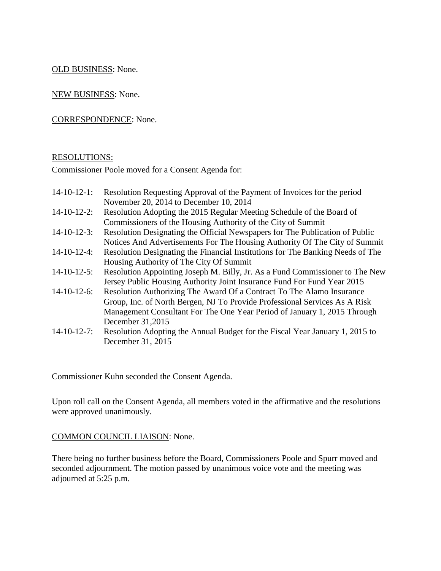## OLD BUSINESS: None.

NEW BUSINESS: None.

## CORRESPONDENCE: None.

#### RESOLUTIONS:

Commissioner Poole moved for a Consent Agenda for:

| 14-10-12-1: Resolution Requesting Approval of the Payment of Invoices for the period |
|--------------------------------------------------------------------------------------|
| November 20, 2014 to December 10, 2014                                               |

- 14-10-12-2: Resolution Adopting the 2015 Regular Meeting Schedule of the Board of Commissioners of the Housing Authority of the City of Summit
- 14-10-12-3: Resolution Designating the Official Newspapers for The Publication of Public Notices And Advertisements For The Housing Authority Of The City of Summit
- 14-10-12-4: Resolution Designating the Financial Institutions for The Banking Needs of The Housing Authority of The City Of Summit
- 14-10-12-5: Resolution Appointing Joseph M. Billy, Jr. As a Fund Commissioner to The New Jersey Public Housing Authority Joint Insurance Fund For Fund Year 2015
- 14-10-12-6: Resolution Authorizing The Award Of a Contract To The Alamo Insurance Group, Inc. of North Bergen, NJ To Provide Professional Services As A Risk Management Consultant For The One Year Period of January 1, 2015 Through December 31,2015
- 14-10-12-7: Resolution Adopting the Annual Budget for the Fiscal Year January 1, 2015 to December 31, 2015

Commissioner Kuhn seconded the Consent Agenda.

Upon roll call on the Consent Agenda, all members voted in the affirmative and the resolutions were approved unanimously.

#### COMMON COUNCIL LIAISON: None.

There being no further business before the Board, Commissioners Poole and Spurr moved and seconded adjournment. The motion passed by unanimous voice vote and the meeting was adjourned at 5:25 p.m.